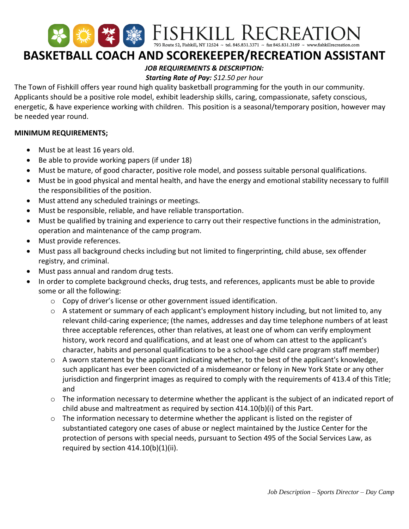# 举 FISHKILL RECREATION **BASKETBALL COACH AND SCOREKEEPER/RECREATION ASSISTANT**

# *JOB REQUIREMENTS & DESCRIPTION:*

## *Starting Rate of Pay: \$12.50 per hour*

The Town of Fishkill offers year round high quality basketball programming for the youth in our community. Applicants should be a positive role model, exhibit leadership skills, caring, compassionate, safety conscious, energetic, & have experience working with children. This position is a seasonal/temporary position, however may be needed year round.

## **MINIMUM REQUIREMENTS;**

- Must be at least 16 years old.
- Be able to provide working papers (if under 18)
- Must be mature, of good character, positive role model, and possess suitable personal qualifications.
- Must be in good physical and mental health, and have the energy and emotional stability necessary to fulfill the responsibilities of the position.
- Must attend any scheduled trainings or meetings.
- Must be responsible, reliable, and have reliable transportation.
- Must be qualified by training and experience to carry out their respective functions in the administration, operation and maintenance of the camp program.
- Must provide references.
- Must pass all background checks including but not limited to fingerprinting, child abuse, sex offender registry, and criminal.
- Must pass annual and random drug tests.
- In order to complete background checks, drug tests, and references, applicants must be able to provide some or all the following:
	- o Copy of driver's license or other government issued identification.
	- o A statement or summary of each applicant's employment history including, but not limited to, any relevant child-caring experience; (the names, addresses and day time telephone numbers of at least three acceptable references, other than relatives, at least one of whom can verify employment history, work record and qualifications, and at least one of whom can attest to the applicant's character, habits and personal qualifications to be a school-age child care program staff member)
	- o A sworn statement by the applicant indicating whether, to the best of the applicant's knowledge, such applicant has ever been convicted of a misdemeanor or felony in New York State or any other jurisdiction and fingerprint images as required to comply with the requirements of 413.4 of this Title; and
	- $\circ$  The information necessary to determine whether the applicant is the subject of an indicated report of child abuse and maltreatment as required by section 414.10(b)(i) of this Part.
	- o The information necessary to determine whether the applicant is listed on the register of substantiated category one cases of abuse or neglect maintained by the Justice Center for the protection of persons with special needs, pursuant to Section 495 of the Social Services Law, as required by section 414.10(b)(1)(ii).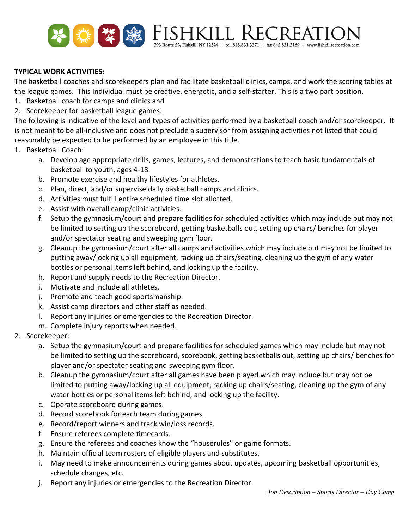

### **TYPICAL WORK ACTIVITIES:**

The basketball coaches and scorekeepers plan and facilitate basketball clinics, camps, and work the scoring tables at the league games. This Individual must be creative, energetic, and a self-starter. This is a two part position.

- 1. Basketball coach for camps and clinics and
- 2. Scorekeeper for basketball league games.

The following is indicative of the level and types of activities performed by a basketball coach and/or scorekeeper. It is not meant to be all-inclusive and does not preclude a supervisor from assigning activities not listed that could reasonably be expected to be performed by an employee in this title.

- 1. Basketball Coach:
	- a. Develop age appropriate drills, games, lectures, and demonstrations to teach basic fundamentals of basketball to youth, ages 4-18.
	- b. Promote exercise and healthy lifestyles for athletes.
	- c. Plan, direct, and/or supervise daily basketball camps and clinics.
	- d. Activities must fulfill entire scheduled time slot allotted.
	- e. Assist with overall camp/clinic activities.
	- f. Setup the gymnasium/court and prepare facilities for scheduled activities which may include but may not be limited to setting up the scoreboard, getting basketballs out, setting up chairs/ benches for player and/or spectator seating and sweeping gym floor.
	- g. Cleanup the gymnasium/court after all camps and activities which may include but may not be limited to putting away/locking up all equipment, racking up chairs/seating, cleaning up the gym of any water bottles or personal items left behind, and locking up the facility.
	- h. Report and supply needs to the Recreation Director.
	- i. Motivate and include all athletes.
	- j. Promote and teach good sportsmanship.
	- k. Assist camp directors and other staff as needed.
	- l. Report any injuries or emergencies to the Recreation Director.
	- m. Complete injury reports when needed.
- 2. Scorekeeper:
	- a. Setup the gymnasium/court and prepare facilities for scheduled games which may include but may not be limited to setting up the scoreboard, scorebook, getting basketballs out, setting up chairs/ benches for player and/or spectator seating and sweeping gym floor.
	- b. Cleanup the gymnasium/court after all games have been played which may include but may not be limited to putting away/locking up all equipment, racking up chairs/seating, cleaning up the gym of any water bottles or personal items left behind, and locking up the facility.
	- c. Operate scoreboard during games.
	- d. Record scorebook for each team during games.
	- e. Record/report winners and track win/loss records.
	- f. Ensure referees complete timecards.
	- g. Ensure the referees and coaches know the "houserules" or game formats.
	- h. Maintain official team rosters of eligible players and substitutes.
	- i. May need to make announcements during games about updates, upcoming basketball opportunities, schedule changes, etc.
	- j. Report any injuries or emergencies to the Recreation Director.